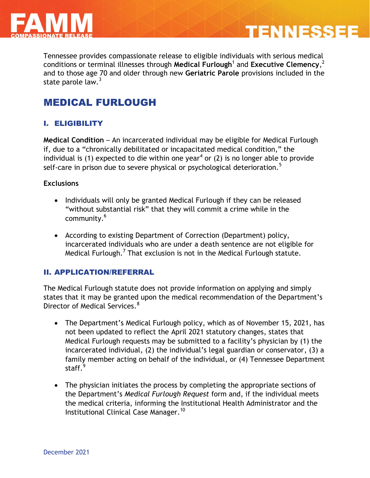

Tennessee provides compassionate release to eligible individuals with serious medical conditions or terminal illnesses through **Medical Furlough**<sup>1</sup> and **Executive Clemency**, 2 and to those age 70 and older through new **Geriatric Parole** provisions included in the state parole law. $3$ 

**TENNESSEE** 

# MEDICAL FURLOUGH

## I. ELIGIBILITY

**Medical Condition** – An incarcerated individual may be eligible for Medical Furlough if, due to a "chronically debilitated or incapacitated medical condition," the individual is (1) expected to die within one year<sup>4</sup> or (2) is no longer able to provide self-care in prison due to severe physical or psychological deterioration.<sup>5</sup>

#### **Exclusions**

- Individuals will only be granted Medical Furlough if they can be released "without substantial risk" that they will commit a crime while in the community.<sup>6</sup>
- According to existing Department of Correction (Department) policy, incarcerated individuals who are under a death sentence are not eligible for Medical Furlough. $^7$  That exclusion is not in the Medical Furlough statute.

#### II. APPLICATION/REFERRAL

The Medical Furlough statute does not provide information on applying and simply states that it may be granted upon the medical recommendation of the Department's Director of Medical Services.<sup>8</sup>

- The Department's Medical Furlough policy, which as of November 15, 2021, has not been updated to reflect the April 2021 statutory changes, states that Medical Furlough requests may be submitted to a facility's physician by (1) the incarcerated individual, (2) the individual's legal guardian or conservator, (3) a family member acting on behalf of the individual, or (4) Tennessee Department staff.<sup>9</sup>
- The physician initiates the process by completing the appropriate sections of the Department's *Medical Furlough Request* form and, if the individual meets the medical criteria, informing the Institutional Health Administrator and the Institutional Clinical Case Manager.<sup>10</sup>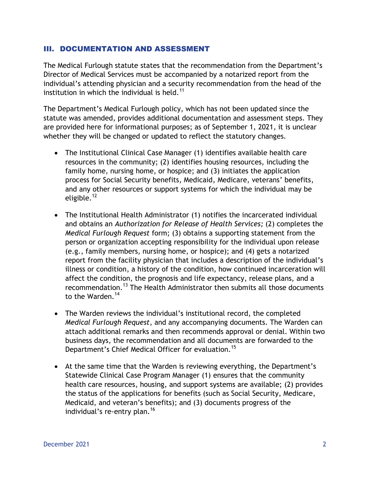#### III. DOCUMENTATION AND ASSESSMENT

The Medical Furlough statute states that the recommendation from the Department's Director of Medical Services must be accompanied by a notarized report from the individual's attending physician and a security recommendation from the head of the institution in which the individual is held.<sup>11</sup>

The Department's Medical Furlough policy, which has not been updated since the statute was amended, provides additional documentation and assessment steps. They are provided here for informational purposes; as of September 1, 2021, it is unclear whether they will be changed or updated to reflect the statutory changes.

- The Institutional Clinical Case Manager (1) identifies available health care resources in the community; (2) identifies housing resources, including the family home, nursing home, or hospice; and (3) initiates the application process for Social Security benefits, Medicaid, Medicare, veterans' benefits, and any other resources or support systems for which the individual may be eligible.<sup>12</sup>
- The Institutional Health Administrator (1) notifies the incarcerated individual and obtains an *Authorization for Release of Health Services;* (2) completes the *Medical Furlough Request* form; (3) obtains a supporting statement from the person or organization accepting responsibility for the individual upon release (e.g., family members, nursing home, or hospice); and (4) gets a notarized report from the facility physician that includes a description of the individual's illness or condition, a history of the condition, how continued incarceration will affect the condition, the prognosis and life expectancy, release plans, and a recommendation.<sup>13</sup> The Health Administrator then submits all those documents to the Warden.<sup>14</sup>
- The Warden reviews the individual's institutional record, the completed *Medical Furlough Request*, and any accompanying documents. The Warden can attach additional remarks and then recommends approval or denial. Within two business days, the recommendation and all documents are forwarded to the Department's Chief Medical Officer for evaluation.<sup>15</sup>
- At the same time that the Warden is reviewing everything, the Department's Statewide Clinical Case Program Manager (1) ensures that the community health care resources, housing, and support systems are available; (2) provides the status of the applications for benefits (such as Social Security, Medicare, Medicaid, and veteran's benefits); and (3) documents progress of the individual's re-entry plan.<sup>16</sup>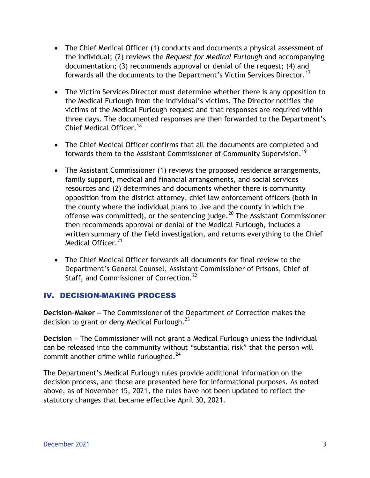- The Chief Medical Officer (1) conducts and documents a physical assessment of the individual; (2) reviews the *Request for Medical Furlough* and accompanying documentation; (3) recommends approval or denial of the request; (4) and forwards all the documents to the Department's Victim Services Director.<sup>17</sup>
- The Victim Services Director must determine whether there is any opposition to the Medical Furlough from the individual's victims. The Director notifies the victims of the Medical Furlough request and that responses are required within three days. The documented responses are then forwarded to the Department's Chief Medical Officer<sup>18</sup>
- The Chief Medical Officer confirms that all the documents are completed and forwards them to the Assistant Commissioner of Community Supervision.<sup>19</sup>
- The Assistant Commissioner (1) reviews the proposed residence arrangements, family support, medical and financial arrangements, and social services resources and (2) determines and documents whether there is community opposition from the district attorney, chief law enforcement officers (both in the county where the individual plans to live and the county in which the offense was committed), or the sentencing judge. $^{20}$  The Assistant Commissioner then recommends approval or denial of the Medical Furlough, includes a written summary of the field investigation, and returns everything to the Chief Medical Officer.<sup>21</sup>
- The Chief Medical Officer forwards all documents for final review to the Department's General Counsel, Assistant Commissioner of Prisons, Chief of Staff, and Commissioner of Correction.<sup>22</sup>

### IV. DECISION-MAKING PROCESS

**Decision-Maker** – The Commissioner of the Department of Correction makes the decision to grant or deny Medical Furlough. $^{23}$ 

**Decision** – The Commissioner will not grant a Medical Furlough unless the individual can be released into the community without "substantial risk" that the person will commit another crime while furloughed. $^{24}$ 

The Department's Medical Furlough rules provide additional information on the decision process, and those are presented here for informational purposes. As noted above, as of November 15, 2021, the rules have not been updated to reflect the statutory changes that became effective April 30, 2021.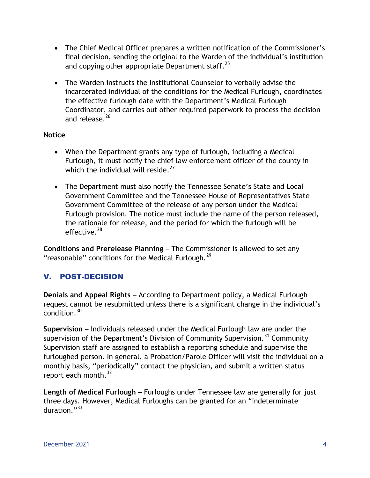- The Chief Medical Officer prepares a written notification of the Commissioner's final decision, sending the original to the Warden of the individual's institution and copying other appropriate Department staff. $25$
- The Warden instructs the Institutional Counselor to verbally advise the incarcerated individual of the conditions for the Medical Furlough, coordinates the effective furlough date with the Department's Medical Furlough Coordinator, and carries out other required paperwork to process the decision and release.<sup>26</sup>

#### **Notice**

- When the Department grants any type of furlough, including a Medical Furlough, it must notify the chief law enforcement officer of the county in which the individual will reside. $27$
- The Department must also notify the Tennessee Senate's State and Local Government Committee and the Tennessee House of Representatives State Government Committee of the release of any person under the Medical Furlough provision. The notice must include the name of the person released, the rationale for release, and the period for which the furlough will be effective. $28$

**Conditions and Prerelease Planning** – The Commissioner is allowed to set any "reasonable" conditions for the Medical Furlough. $^{29}$ 

## V. POST-DECISION

**Denials and Appeal Rights** – According to Department policy, a Medical Furlough request cannot be resubmitted unless there is a significant change in the individual's condition.<sup>30</sup>

**Supervision** – Individuals released under the Medical Furlough law are under the supervision of the Department's Division of Community Supervision.<sup>31</sup> Community Supervision staff are assigned to establish a reporting schedule and supervise the furloughed person. In general, a Probation/Parole Officer will visit the individual on a monthly basis, "periodically" contact the physician, and submit a written status report each month. $32$ 

**Length of Medical Furlough** – Furloughs under Tennessee law are generally for just three days. However, Medical Furloughs can be granted for an "indeterminate duration $^{93}$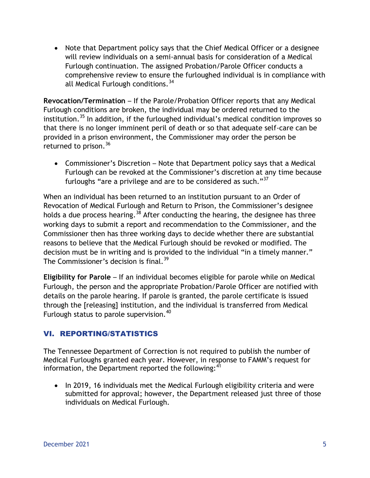Note that Department policy says that the Chief Medical Officer or a designee will review individuals on a semi-annual basis for consideration of a Medical Furlough continuation*.* The assigned Probation/Parole Officer conducts a comprehensive review to ensure the furloughed individual is in compliance with all Medical Furlough conditions.<sup>34</sup>

**Revocation/Termination** – If the Parole/Probation Officer reports that any Medical Furlough conditions are broken, the individual may be ordered returned to the institution.<sup>35</sup> In addition, if the furloughed individual's medical condition improves so that there is no longer imminent peril of death or so that adequate self-care can be provided in a prison environment, the Commissioner may order the person be returned to prison.<sup>36</sup>

 Commissioner's Discretion – Note that Department policy says that a Medical Furlough can be revoked at the Commissioner's discretion at any time because furloughs "are a privilege and are to be considered as such." $37$ 

When an individual has been returned to an institution pursuant to an Order of Revocation of Medical Furlough and Return to Prison, the Commissioner's designee holds a due process hearing.<sup>38</sup> After conducting the hearing, the designee has three working days to submit a report and recommendation to the Commissioner, and the Commissioner then has three working days to decide whether there are substantial reasons to believe that the Medical Furlough should be revoked or modified. The decision must be in writing and is provided to the individual "in a timely manner." The Commissioner's decision is final.<sup>39</sup>

**Eligibility for Parole** – If an individual becomes eligible for parole while on Medical Furlough, the person and the appropriate Probation/Parole Officer are notified with details on the parole hearing. If parole is granted, the parole certificate is issued through the [releasing] institution, and the individual is transferred from Medical Furlough status to parole supervision.<sup>40</sup>

## VI. REPORTING/STATISTICS

The Tennessee Department of Correction is not required to publish the number of Medical Furloughs granted each year. However, in response to FAMM's request for information, the Department reported the following:<sup>41</sup>

• In 2019, 16 individuals met the Medical Furlough eligibility criteria and were submitted for approval; however, the Department released just three of those individuals on Medical Furlough.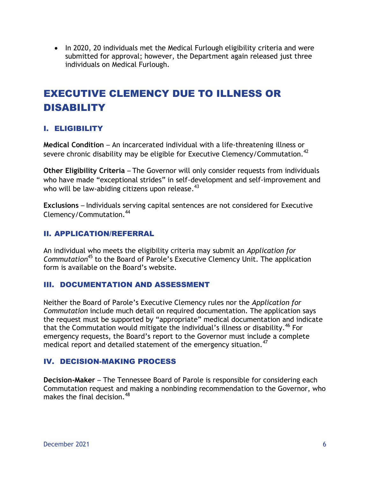• In 2020, 20 individuals met the Medical Furlough eligibility criteria and were submitted for approval; however, the Department again released just three individuals on Medical Furlough.

# EXECUTIVE CLEMENCY DUE TO ILLNESS OR DISABILITY

## I. ELIGIBILITY

**Medical Condition** – An incarcerated individual with a life-threatening illness or severe chronic disability may be eligible for Executive Clemency/Commutation.<sup>42</sup>

**Other Eligibility Criteria** – The Governor will only consider requests from individuals who have made "exceptional strides" in self-development and self-improvement and who will be law-abiding citizens upon release.<sup>43</sup>

**Exclusions** – Individuals serving capital sentences are not considered for Executive Clemency/Commutation.<sup>44</sup>

### II. APPLICATION/REFERRAL

An individual who meets the eligibility criteria may submit an *Application for Commutation*<sup>45</sup> to the Board of Parole's Executive Clemency Unit. The application form is available on the Board's website.

### III. DOCUMENTATION AND ASSESSMENT

Neither the Board of Parole's Executive Clemency rules nor the *Application for Commutation* include much detail on required documentation. The application says the request must be supported by "appropriate" medical documentation and indicate that the Commutation would mitigate the individual's illness or disability.<sup>46</sup> For emergency requests, the Board's report to the Governor must include a complete medical report and detailed statement of the emergency situation.<sup>47</sup>

## IV. DECISION-MAKING PROCESS

**Decision-Maker** – The Tennessee Board of Parole is responsible for considering each Commutation request and making a nonbinding recommendation to the Governor, who makes the final decision.  $48$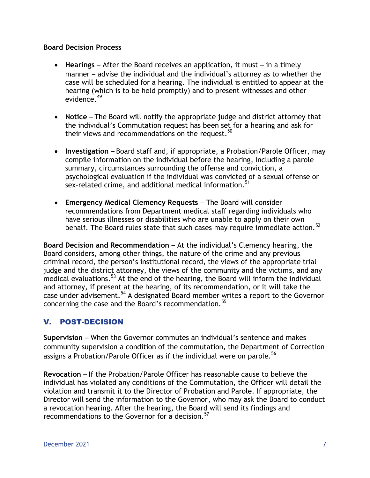#### **Board Decision Process**

- **Hearings** After the Board receives an application, it must in a timely manner – advise the individual and the individual's attorney as to whether the case will be scheduled for a hearing. The individual is entitled to appear at the hearing (which is to be held promptly) and to present witnesses and other evidence.<sup>49</sup>
- **Notice**  The Board will notify the appropriate judge and district attorney that the individual's Commutation request has been set for a hearing and ask for their views and recommendations on the request.<sup>50</sup>
- **Investigation**  Board staff and, if appropriate, a Probation/Parole Officer, may compile information on the individual before the hearing, including a parole summary, circumstances surrounding the offense and conviction, a psychological evaluation if the individual was convicted of a sexual offense or sex-related crime, and additional medical information.<sup>51</sup>
- **Emergency Medical Clemency Requests**  The Board will consider recommendations from Department medical staff regarding individuals who have serious illnesses or disabilities who are unable to apply on their own behalf. The Board rules state that such cases may require immediate action.<sup>52</sup>

**Board Decision and Recommendation** – At the individual's Clemency hearing, the Board considers, among other things, the nature of the crime and any previous criminal record, the person's institutional record, the views of the appropriate trial judge and the district attorney, the views of the community and the victims, and any medical evaluations.<sup>53</sup> At the end of the hearing, the Board will inform the individual and attorney, if present at the hearing, of its recommendation, or it will take the case under advisement.<sup>54</sup> A designated Board member writes a report to the Governor concerning the case and the Board's recommendation.<sup>55</sup>

## V. POST-DECISION

**Supervision** – When the Governor commutes an individual's sentence and makes community supervision a condition of the commutation, the Department of Correction assigns a Probation/Parole Officer as if the individual were on parole.<sup>56</sup>

**Revocation** – If the Probation/Parole Officer has reasonable cause to believe the individual has violated any conditions of the Commutation, the Officer will detail the violation and transmit it to the Director of Probation and Parole. If appropriate, the Director will send the information to the Governor, who may ask the Board to conduct a revocation hearing. After the hearing, the Board will send its findings and recommendations to the Governor for a decision.<sup>57</sup>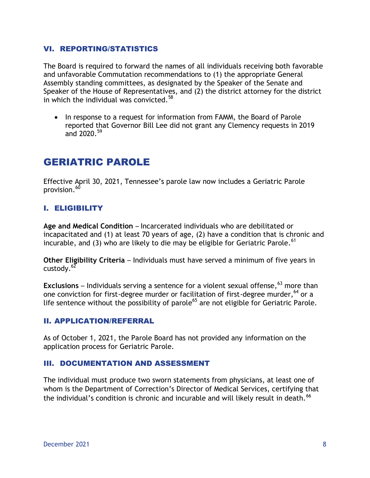#### VI. REPORTING/STATISTICS

The Board is required to forward the names of all individuals receiving both favorable and unfavorable Commutation recommendations to (1) the appropriate General Assembly standing committees, as designated by the Speaker of the Senate and Speaker of the House of Representatives, and (2) the district attorney for the district in which the individual was convicted. $58$ 

• In response to a request for information from FAMM, the Board of Parole reported that Governor Bill Lee did not grant any Clemency requests in 2019 and 2020.<sup>59</sup>

## GERIATRIC PAROLE

Effective April 30, 2021, Tennessee's parole law now includes a Geriatric Parole provision.<sup>60</sup>

#### I. ELIGIBILITY

**Age and Medical Condition** – Incarcerated individuals who are debilitated or incapacitated and (1) at least 70 years of age, (2) have a condition that is chronic and incurable, and (3) who are likely to die may be eligible for Geriatric Parole.<sup>61</sup>

**Other Eligibility Criteria** – Individuals must have served a minimum of five years in custody. $62$ 

**Exclusions** – Individuals serving a sentence for a violent sexual offense, <sup>63</sup> more than one conviction for first-degree murder or facilitation of first-degree murder,  $64$  or a life sentence without the possibility of parole<sup>65</sup> are not eligible for Geriatric Parole.

#### II. APPLICATION/REFERRAL

As of October 1, 2021, the Parole Board has not provided any information on the application process for Geriatric Parole.

#### III. DOCUMENTATION AND ASSESSMENT

The individual must produce two sworn statements from physicians, at least one of whom is the Department of Correction's Director of Medical Services, certifying that the individual's condition is chronic and incurable and will likely result in death.<sup>66</sup>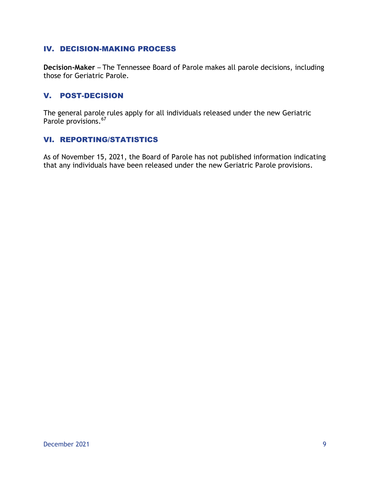#### IV. DECISION-MAKING PROCESS

**Decision-Maker** – The Tennessee Board of Parole makes all parole decisions, including those for Geriatric Parole.

#### V. POST-DECISION

The general parole rules apply for all individuals released under the new Geriatric Parole provisions.<sup>67</sup>

#### VI. REPORTING/STATISTICS

As of November 15, 2021, the Board of Parole has not published information indicating that any individuals have been released under the new Geriatric Parole provisions.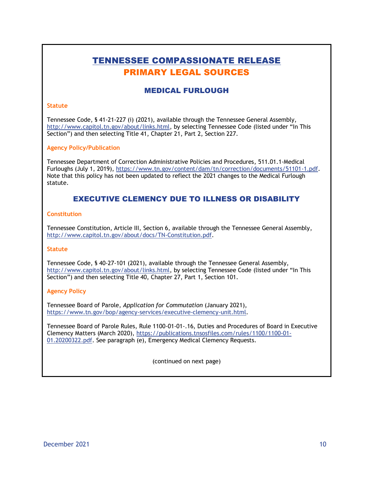## TENNESSEE COMPASSIONATE RELEASE PRIMARY LEGAL SOURCES

#### MEDICAL FURLOUGH

#### **Statute**

Tennessee Code, § 41-21-227 (i) (2021), available through the Tennessee General Assembly, [http://www.capitol.tn.gov/about/links.html,](http://www.capitol.tn.gov/about/links.html) by selecting Tennessee Code (listed under "In This Section") and then selecting Title 41, Chapter 21, Part 2, Section 227.

#### **Agency Policy/Publication**

Tennessee Department of Correction Administrative Policies and Procedures, 511.01.1-Medical Furloughs (July 1, 2019)[, https://www.tn.gov/content/dam/tn/correction/documents/51101-1.pdf.](https://www.tn.gov/content/dam/tn/correction/documents/51101-1.pdf) Note that this policy has not been updated to reflect the 2021 changes to the Medical Furlough statute.

#### EXECUTIVE CLEMENCY DUE TO ILLNESS OR DISABILITY

#### **Constitution**

Tennessee Constitution, Article III, Section 6, available through the Tennessee General Assembly, http://www.capitol.tn.gov/about/docs/TN-Constitution.pdf.

#### **Statute**

Tennessee Code, § 40-27-101 (2021), available through the Tennessee General Assembly, [http://www.capitol.tn.gov/about/links.html,](http://www.capitol.tn.gov/about/links.html) by selecting Tennessee Code (listed under "In This Section") and then selecting Title 40, Chapter 27, Part 1, Section 101.

#### **Agency Policy**

Tennessee Board of Parole, *Application for Commutation* (January 2021), [https://www.tn.gov/bop/agency-services/executive-clemency-unit.html.](https://www.tn.gov/bop/agency-services/executive-clemency-unit.html)

Tennessee Board of Parole Rules, Rule 1100-01-01-.16, Duties and Procedures of Board in Executive Clemency Matters (March 2020), [https://publications.tnsosfiles.com/rules/1100/1100-01-](https://publications.tnsosfiles.com/rules/1100/1100-01-01.20200322.pdf) [01.20200322.pdf.](https://publications.tnsosfiles.com/rules/1100/1100-01-01.20200322.pdf) See paragraph (e), Emergency Medical Clemency Requests.

(continued on next page)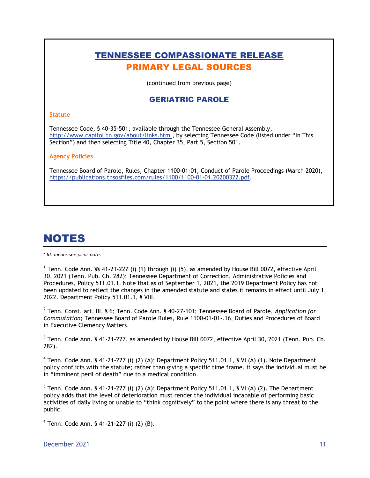## TENNESSEE COMPASSIONATE RELEASE PRIMARY LEGAL SOURCES

(continued from previous page)

#### GERIATRIC PAROLE

#### **Statute**

Tennessee Code, § 40-35-501, available through the Tennessee General Assembly, [http://www.capitol.tn.gov/about/links.html,](http://www.capitol.tn.gov/about/links.html) by selecting Tennessee Code (listed under "In This Section") and then selecting Title 40, Chapter 35, Part 5, Section 501.

#### **Agency Policies**

Tennessee Board of Parole, Rules, Chapter 1100-01-01, Conduct of Parole Proceedings (March 2020), https://publications.tnsosfiles.com/rules/1100/1100-01-01.20200322.pdf.

# NOTES

\* *Id. means see prior note.*

<sup>1</sup> Tenn. Code Ann. §§ 41-21-227 (i) (1) through (i) (5), as amended by House Bill 0072, effective April 30, 2021 (Tenn. Pub. Ch. 282); Tennessee Department of Correction, Administrative Policies and Procedures, Policy 511.01.1. Note that as of September 1, 2021, the 2019 Department Policy has not been updated to reflect the changes in the amended statute and states it remains in effect until July 1, 2022. Department Policy 511.01.1, § VIII.

2 Tenn. Const. art. III, § 6; Tenn. Code Ann. § 40-27-101; Tennessee Board of Parole, *Application for Commutation*; Tennessee Board of Parole Rules, Rule 1100-01-01-.16, Duties and Procedures of Board in Executive Clemency Matters.

 $^3$  Tenn. Code Ann. § 41-21-227, as amended by House Bill 0072, effective April 30, 2021 (Tenn. Pub. Ch. 282).

<sup>4</sup> Tenn. Code Ann. § 41-21-227 (i) (2) (A); Department Policy 511.01.1, § VI (A) (1). Note Department policy conflicts with the statute; rather than giving a specific time frame, it says the individual must be in "imminent peril of death" due to a medical condition.

<sup>5</sup> Tenn. Code Ann. § 41-21-227 (i) (2) (A); Department Policy 511.01.1, § VI (A) (2). The Department policy adds that the level of deterioration must render the individual incapable of performing basic activities of daily living or unable to "think cognitively" to the point where there is any threat to the public.

6 Tenn. Code Ann. § 41-21-227 (i) (2) (B).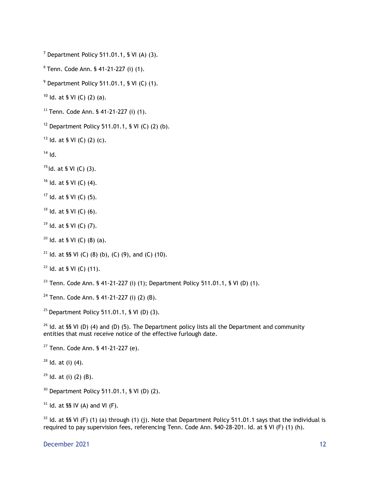$<sup>7</sup>$  Department Policy 511.01.1, § VI (A) (3).</sup>

<sup>8</sup> Tenn. Code Ann. § 41-21-227 (i) (1).

Department Policy 511.01.1, § VI (C) (1).

Id. at § VI (C) (2) (a).

Tenn. Code Ann. § 41-21-227 (i) (1).

<sup>12</sup> Department Policy 511.01.1, § VI (C) (2) (b).

<sup>13</sup> Id. at § VI (C) (2) (c).

Id.

Id. at § VI (C) (3).

Id. at § VI (C) (4).

Id. at § VI (C) (5).

Id. at § VI (C) (6).

Id. at § VI (C) (7).

Id. at § VI (C) (8) (a).

<sup>21</sup> Id. at §§ VI (C) (8) (b), (C) (9), and (C) (10).

Id. at § VI (C) (11).

<sup>23</sup> Tenn. Code Ann. § 41-21-227 (i) (1); Department Policy 511.01.1, § VI (D) (1).

Tenn. Code Ann. § 41-21-227 (i) (2) (B).

<sup>25</sup> Department Policy 511.01.1, § VI (D) (3).

<sup>26</sup> Id. at §§ VI (D) (4) and (D) (5). The Department policy lists all the Department and community entities that must receive notice of the effective furlough date.

Tenn. Code Ann. § 41-21-227 (e).

Id. at (i) (4).

ld. at (i) (2) (B).

Department Policy 511.01.1, § VI (D) (2).

ld. at §§ IV (A) and VI (F).

 Id. at §§ VI (F) (1) (a) through (1) (j). Note that Department Policy 511.01.1 says that the individual is required to pay supervision fees, referencing Tenn. Code Ann. §40-28-201. Id. at § VI (F) (1) (h).

December 2021 12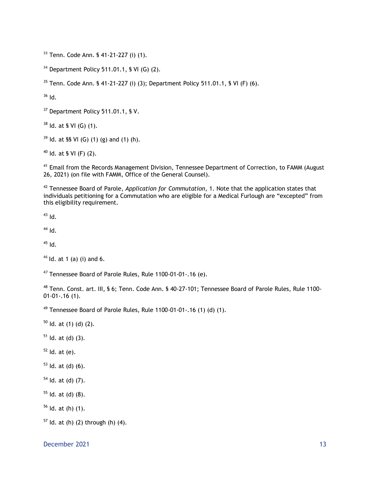Tenn. Code Ann. § 41-21-227 (i) (1).

Department Policy 511.01.1, § VI (G) (2).

Tenn. Code Ann. § 41-21-227 (i) (3); Department Policy 511.01.1, § VI (F) (6).

Id.

<sup>37</sup> Department Policy 511.01.1, § V.

Id. at § VI (G) (1).

ld. at §§ VI (G) (1) (g) and (1) (h).

Id. at § VI (F) (2).

<sup>41</sup> Email from the Records Management Division, Tennessee Department of Correction, to FAMM (August 26, 2021) (on file with FAMM, Office of the General Counsel).

 Tennessee Board of Parole, *Application for Commutation*, 1. Note that the application states that individuals petitioning for a Commutation who are eligible for a Medical Furlough are "excepted" from this eligibility requirement.

Id.

Id.

Id.

Id. at 1 (a) (i) and 6.

Tennessee Board of Parole Rules, Rule 1100-01-01-.16 (e).

 Tenn. Const. art. III, § 6; Tenn. Code Ann. § 40-27-101; Tennessee Board of Parole Rules, Rule 1100- 01-01-.16 (1).

<sup>49</sup> Tennessee Board of Parole Rules, Rule 1100-01-01-.16 (1) (d) (1).

ld. at (1) (d) (2).

ld. at (d) (3).

Id. at (e).

Id. at (d) (6).

Id. at (d) (7).

Id. at (d) (8).

Id. at (h) (1).

Id. at (h) (2) through (h) (4).